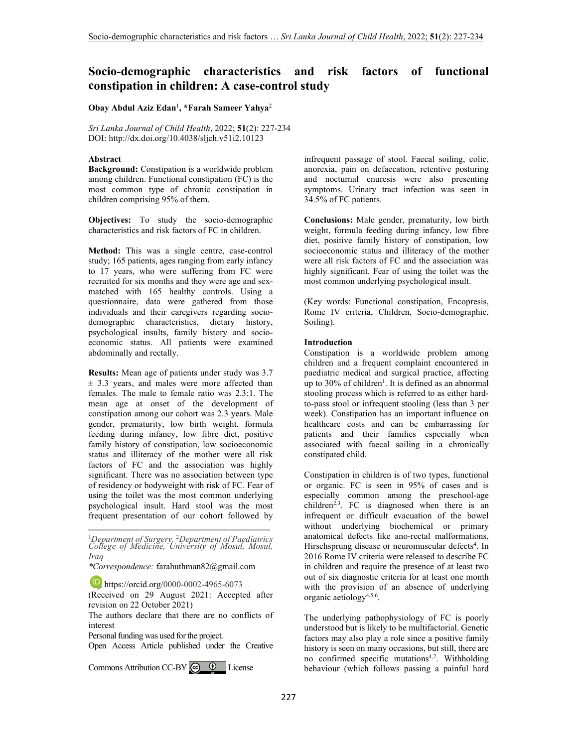# **Socio-demographic characteristics and risk factors of functional constipation in children: A case-control study**

**Obay Abdul Aziz Edan**<sup>1</sup> **, \*Farah Sameer Yahya**<sup>2</sup>

*Sri Lanka Journal of Child Health*, 2022; **51**(2): 227-234 DOI: http://dx.doi.org/10.4038/sljch.v51i2.10123

# **Abstract**

**Background:** Constipation is a worldwide problem among children. Functional constipation (FC) is the most common type of chronic constipation in children comprising 95% of them.

**Objectives:** To study the socio-demographic characteristics and risk factors of FC in children.

**Method:** This was a single centre, case-control study; 165 patients, ages ranging from early infancy to 17 years, who were suffering from FC were recruited for six months and they were age and sexmatched with 165 healthy controls. Using a questionnaire, data were gathered from those individuals and their caregivers regarding sociodemographic characteristics, dietary history, psychological insults, family history and socioeconomic status. All patients were examined abdominally and rectally.

**Results:** Mean age of patients under study was 3.7  $\pm$  3.3 years, and males were more affected than females. The male to female ratio was 2.3:1. The mean age at onset of the development of constipation among our cohort was 2.3 years. Male gender, prematurity, low birth weight, formula feeding during infancy, low fibre diet, positive family history of constipation, low socioeconomic status and illiteracy of the mother were all risk factors of FC and the association was highly significant. There was no association between type of residency or bodyweight with risk of FC. Fear of using the toilet was the most common underlying psychological insult. Hard stool was the most frequent presentation of our cohort followed by

<sup>1</sup>*Department of Surgery,* <sup>2</sup>*Department of Paediatrics College of Medicine, University of Mosul, Mosul, Iraq*

**\_\_\_\_\_\_\_\_\_\_\_\_\_\_\_\_\_\_\_\_\_\_\_\_\_\_\_\_\_\_\_\_\_\_\_\_\_\_\_\_\_**

*\*Correspondence:* farahuthman82@gmail.com

**b** https://orcid.org/0000-0002-4965-6073 (Received on 29 August 2021: Accepted after revision on 22 October 2021)

The authors declare that there are no conflicts of interest

Personal funding was used for the project.

Open Access Article published under the Creative

CommonsAttribution CC-BY  $\bigcirc$   $\bigcirc$  License

infrequent passage of stool. Faecal soiling, colic, anorexia, pain on defaecation, retentive posturing and nocturnal enuresis were also presenting symptoms. Urinary tract infection was seen in 34.5% of FC patients.

**Conclusions:** Male gender, prematurity, low birth weight, formula feeding during infancy, low fibre diet, positive family history of constipation, low socioeconomic status and illiteracy of the mother were all risk factors of FC and the association was highly significant. Fear of using the toilet was the most common underlying psychological insult.

(Key words: Functional constipation, Encopresis, Rome IV criteria, Children, Socio-demographic, Soiling).

# **Introduction**

Constipation is a worldwide problem among children and a frequent complaint encountered in paediatric medical and surgical practice, affecting up to 30% of children<sup>1</sup>. It is defined as an abnormal stooling process which is referred to as either hardto-pass stool or infrequent stooling (less than 3 per week). Constipation has an important influence on healthcare costs and can be embarrassing for patients and their families especially when associated with faecal soiling in a chronically constipated child.

Constipation in children is of two types, functional or organic. FC is seen in 95% of cases and is especially common among the preschool-age  $children<sup>2,3</sup>$ . FC is diagnosed when there is an infrequent or difficult evacuation of the bowel without underlying biochemical or primary anatomical defects like ano-rectal malformations, Hirschsprung disease or neuromuscular defects<sup>4</sup>. In 2016 Rome IV criteria were released to describe FC in children and require the presence of at least two out of six diagnostic criteria for at least one month with the provision of an absence of underlying organic aetiology4,5,6 .

The underlying pathophysiology of FC is poorly understood but is likely to be multifactorial. Genetic factors may also play a role since a positive family history is seen on many occasions, but still, there are no confirmed specific mutations<sup>4,7</sup>. Withholding behaviour (which follows passing a painful hard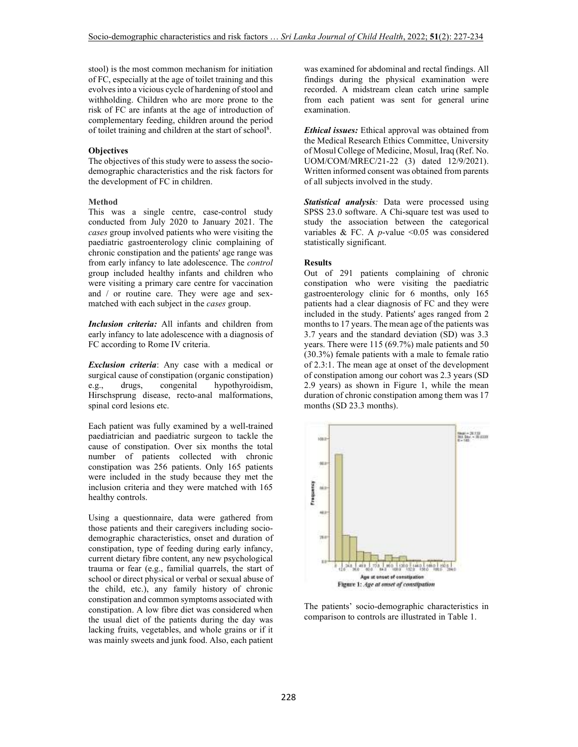stool) is the most common mechanism for initiation of FC, especially at the age of toilet training and this evolves into a vicious cycle of hardening of stool and withholding. Children who are more prone to the risk of FC are infants at the age of introduction of complementary feeding, children around the period of toilet training and children at the start of school<sup>8</sup>.

# **Objectives**

The objectives of this study were to assess the sociodemographic characteristics and the risk factors for the development of FC in children.

#### **Method**

This was a single centre, case-control study conducted from July 2020 to January 2021. The *cases* group involved patients who were visiting the paediatric gastroenterology clinic complaining of chronic constipation and the patients' age range was from early infancy to late adolescence. The *control*  group included healthy infants and children who were visiting a primary care centre for vaccination and / or routine care. They were age and sexmatched with each subject in the *cases* group.

*Inclusion criteria:* All infants and children from early infancy to late adolescence with a diagnosis of FC according to Rome IV criteria.

*Exclusion criteria*: Any case with a medical or surgical cause of constipation (organic constipation)<br>e.g., drugs, congenital hypothyroidism, e.g., drugs, congenital hypothyroidism, Hirschsprung disease, recto-anal malformations, spinal cord lesions etc.

Each patient was fully examined by a well-trained paediatrician and paediatric surgeon to tackle the cause of constipation. Over six months the total number of patients collected with chronic constipation was 256 patients. Only 165 patients were included in the study because they met the inclusion criteria and they were matched with 165 healthy controls.

Using a questionnaire, data were gathered from those patients and their caregivers including sociodemographic characteristics, onset and duration of constipation, type of feeding during early infancy, current dietary fibre content, any new psychological trauma or fear (e.g., familial quarrels, the start of school or direct physical or verbal or sexual abuse of the child, etc.), any family history of chronic constipation and common symptoms associated with constipation. A low fibre diet was considered when the usual diet of the patients during the day was lacking fruits, vegetables, and whole grains or if it was mainly sweets and junk food. Also, each patient was examined for abdominal and rectal findings. All findings during the physical examination were recorded. A midstream clean catch urine sample from each patient was sent for general urine examination.

*Ethical issues:* Ethical approval was obtained from the Medical Research Ethics Committee, University of Mosul College of Medicine, Mosul, Iraq (Ref. No. UOM/COM/MREC/21-22 (3) dated 12/9/2021). Written informed consent was obtained from parents of all subjects involved in the study.

*Statistical analysis:* Data were processed using SPSS 23.0 software. A Chi-square test was used to study the association between the categorical variables & FC. A  $p$ -value < $0.05$  was considered statistically significant.

#### **Results**

Out of 291 patients complaining of chronic constipation who were visiting the paediatric gastroenterology clinic for 6 months, only 165 patients had a clear diagnosis of FC and they were included in the study. Patients' ages ranged from 2 months to 17 years. The mean age of the patients was 3.7 years and the standard deviation (SD) was 3.3 years. There were 115 (69.7%) male patients and 50 (30.3%) female patients with a male to female ratio of 2.3:1. The mean age at onset of the development of constipation among our cohort was 2.3 years (SD 2.9 years) as shown in Figure 1, while the mean duration of chronic constipation among them was 17 months (SD 23.3 months).



The patients' socio-demographic characteristics in comparison to controls are illustrated in Table 1.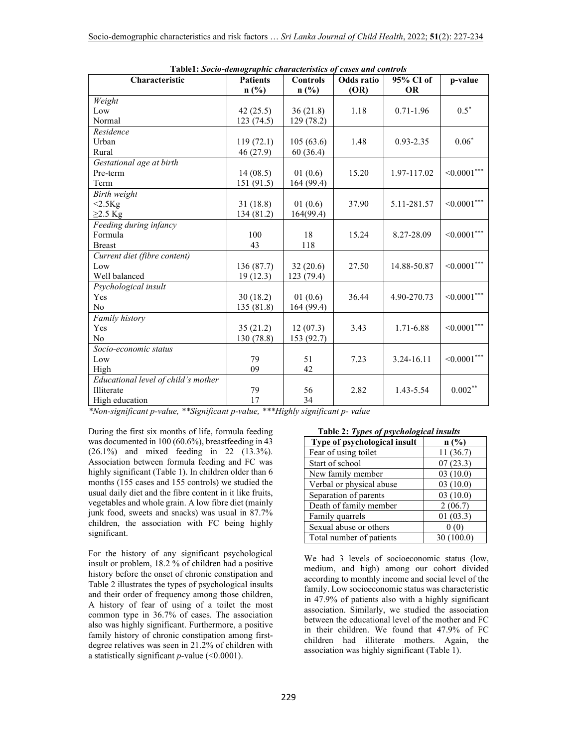| Characteristic                      | r apici, socio-aemographic characteristics of<br><b>Patients</b> | Controls   | cases una controis<br>Odds ratio | 95% CI of     | p-value        |
|-------------------------------------|------------------------------------------------------------------|------------|----------------------------------|---------------|----------------|
|                                     | n(%)                                                             | $n$ (%)    | (OR)                             | <b>OR</b>     |                |
| Weight                              |                                                                  |            |                                  |               |                |
| Low                                 | 42(25.5)                                                         | 36(21.8)   | 1.18                             | $0.71 - 1.96$ | $0.5*$         |
| Normal                              | 123(74.5)                                                        | 129 (78.2) |                                  |               |                |
| Residence                           |                                                                  |            |                                  |               |                |
| Urban                               | 119(72.1)                                                        | 105(63.6)  | 1.48                             | $0.93 - 2.35$ | $0.06*$        |
| Rural                               | 46 (27.9)                                                        | 60(36.4)   |                                  |               |                |
| Gestational age at birth            |                                                                  |            |                                  |               |                |
| Pre-term                            | 14(08.5)                                                         | 01(0.6)    | 15.20                            | 1.97-117.02   | $< 0.0001$ *** |
| Term                                | 151 (91.5)                                                       | 164 (99.4) |                                  |               |                |
| Birth weight                        |                                                                  |            |                                  |               |                |
| $<2.5$ Kg                           | 31(18.8)                                                         | 01(0.6)    | 37.90                            | 5.11-281.57   | $<0.0001***$   |
| $\geq$ 2.5 Kg                       | 134 (81.2)                                                       | 164(99.4)  |                                  |               |                |
| Feeding during infancy              |                                                                  |            |                                  |               |                |
| Formula                             | 100                                                              | 18         | 15.24                            | 8.27-28.09    | $<0.0001***$   |
| <b>Breast</b>                       | 43                                                               | 118        |                                  |               |                |
| Current diet (fibre content)        |                                                                  |            |                                  |               |                |
| Low                                 | 136 (87.7)                                                       | 32(20.6)   | 27.50                            | 14.88-50.87   | $<0.0001***$   |
| Well balanced                       | 19(12.3)                                                         | 123 (79.4) |                                  |               |                |
| Psychological insult                |                                                                  |            |                                  |               |                |
| Yes                                 | 30(18.2)                                                         | 01(0.6)    | 36.44                            | 4.90-270.73   | $<0.0001***$   |
| N <sub>0</sub>                      | 135 (81.8)                                                       | 164 (99.4) |                                  |               |                |
| Family history                      |                                                                  |            |                                  |               |                |
| Yes                                 | 35(21.2)                                                         | 12(07.3)   | 3.43                             | 1.71-6.88     | $<0.0001***$   |
| N <sub>o</sub>                      | 130 (78.8)                                                       | 153 (92.7) |                                  |               |                |
| Socio-economic status               |                                                                  |            |                                  |               |                |
| Low                                 | 79                                                               | 51         | 7.23                             | 3.24-16.11    | $<0.0001***$   |
| High                                | 09                                                               | 42         |                                  |               |                |
| Educational level of child's mother |                                                                  |            |                                  |               |                |
| Illiterate                          | 79                                                               | 56         | 2.82                             | 1.43-5.54     | $0.002**$      |
| High education                      | 17                                                               | 34         |                                  |               |                |

**Table1:** *Socio-demographic characteristics of cases and controls* 

*\*Non-significant p-value, \*\*Significant p-value, \*\*\*Highly significant p- value* 

During the first six months of life, formula feeding was documented in 100 (60.6%), breastfeeding in 43 (26.1%) and mixed feeding in 22 (13.3%). Association between formula feeding and FC was highly significant (Table 1). In children older than 6 months (155 cases and 155 controls) we studied the usual daily diet and the fibre content in it like fruits, vegetables and whole grain. A low fibre diet (mainly junk food, sweets and snacks) was usual in 87.7% children, the association with FC being highly significant.

For the history of any significant psychological insult or problem, 18.2 % of children had a positive history before the onset of chronic constipation and Table 2 illustrates the types of psychological insults and their order of frequency among those children, A history of fear of using of a toilet the most common type in 36.7% of cases. The association also was highly significant. Furthermore, a positive family history of chronic constipation among firstdegree relatives was seen in 21.2% of children with a statistically significant *p-*value (<0.0001).

| Table 2: Types of psychological insults |           |  |  |  |
|-----------------------------------------|-----------|--|--|--|
| Type of psychological insult            | n(%)      |  |  |  |
| Fear of using toilet                    | 11(36.7)  |  |  |  |
| Start of school                         | 07(23.3)  |  |  |  |
| New family member                       | 03(10.0)  |  |  |  |
| Verbal or physical abuse                | 03(10.0)  |  |  |  |
| Separation of parents                   | 03(10.0)  |  |  |  |
| Death of family member                  | 2(06.7)   |  |  |  |
| Family quarrels                         | 01(03.3)  |  |  |  |
| Sexual abuse or others                  | 0(0)      |  |  |  |
| Total number of patients                | 30(100.0) |  |  |  |

# We had 3 levels of socioeconomic status (low, medium, and high) among our cohort divided according to monthly income and social level of the family. Low socioeconomic status was characteristic in 47.9% of patients also with a highly significant association. Similarly, we studied the association between the educational level of the mother and FC in their children. We found that 47.9% of FC children had illiterate mothers. Again, the association was highly significant (Table 1).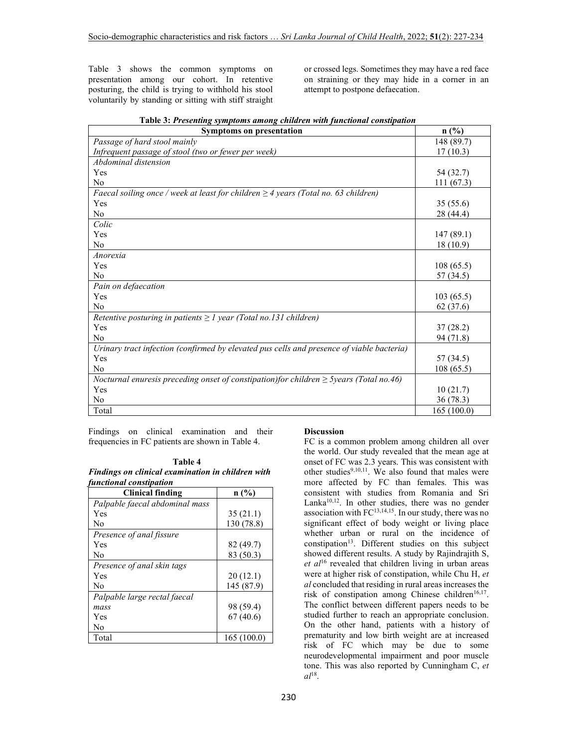Table 3 shows the common symptoms on presentation among our cohort. In retentive posturing, the child is trying to withhold his stool voluntarily by standing or sitting with stiff straight or crossed legs. Sometimes they may have a red face on straining or they may hide in a corner in an attempt to postpone defaecation.

| <b>Symptoms on presentation</b>                                                              | $n$ (%)    |
|----------------------------------------------------------------------------------------------|------------|
| Passage of hard stool mainly                                                                 | 148 (89.7) |
| Infrequent passage of stool (two or fewer per week)                                          | 17(10.3)   |
| Abdominal distension                                                                         |            |
| Yes                                                                                          | 54 (32.7)  |
| N <sub>0</sub>                                                                               | 111(67.3)  |
| Faecal soiling once / week at least for children $\geq$ 4 years (Total no. 63 children)      |            |
| Yes                                                                                          | 35(55.6)   |
| N <sub>0</sub>                                                                               | 28 (44.4)  |
| Colic                                                                                        |            |
| Yes                                                                                          | 147(89.1)  |
| N <sub>0</sub>                                                                               | 18(10.9)   |
| Anorexia                                                                                     |            |
| Yes                                                                                          | 108(65.5)  |
| N <sub>0</sub>                                                                               | 57 (34.5)  |
| Pain on defaecation                                                                          |            |
| Yes                                                                                          | 103(65.5)  |
| N <sub>0</sub>                                                                               | 62(37.6)   |
| Retentive posturing in patients $\geq 1$ year (Total no.131 children)                        |            |
| Yes                                                                                          | 37 (28.2)  |
| N <sub>0</sub>                                                                               | 94 (71.8)  |
| Urinary tract infection (confirmed by elevated pus cells and presence of viable bacteria)    |            |
| Yes                                                                                          | 57 (34.5)  |
| No                                                                                           | 108(65.5)  |
| Nocturnal enuresis preceding onset of constipation) for children $\geq$ 5years (Total no.46) |            |
| Yes                                                                                          | 10(21.7)   |
| N <sub>o</sub>                                                                               | 36(78.3)   |
| Total                                                                                        | 165(100.0) |

 **Table 3:** *Presenting symptoms among children with functional constipation*

Findings on clinical examination and their frequencies in FC patients are shown in Table 4.

 **Table 4** *Findings on clinical examination in children with functional constipation*

| <b>Clinical finding</b>        | n(%)       |
|--------------------------------|------------|
| Palpable faecal abdominal mass |            |
| Yes                            | 35(21.1)   |
| N <sub>0</sub>                 | 130 (78.8) |
| Presence of anal fissure       |            |
| Yes                            | 82 (49.7)  |
| No                             | 83 (50.3)  |
| Presence of anal skin tags     |            |
| Yes                            | 20(12.1)   |
| N <sub>0</sub>                 | 145 (87.9) |
| Palpable large rectal faecal   |            |
| mass                           | 98 (59.4)  |
| Yes                            | 67(40.6)   |
| No                             |            |
| Total                          | 165(100.0) |

# **Discussion**

FC is a common problem among children all over the world. Our study revealed that the mean age at onset of FC was 2.3 years. This was consistent with other studies $9,10,11$ . We also found that males were more affected by FC than females. This was consistent with studies from Romania and Sri Lanka $10,12$ . In other studies, there was no gender association with  $FC^{13,14,15}$ . In our study, there was no significant effect of body weight or living place whether urban or rural on the incidence of constipation<sup>13</sup>. Different studies on this subject showed different results. A study by Rajindrajith S, *et al*<sup>16</sup> revealed that children living in urban areas were at higher risk of constipation, while Chu H, *et al* concluded that residing in rural areas increases the risk of constipation among Chinese children<sup>16,17</sup>. The conflict between different papers needs to be studied further to reach an appropriate conclusion. On the other hand, patients with a history of prematurity and low birth weight are at increased risk of FC which may be due to some neurodevelopmental impairment and poor muscle tone. This was also reported by Cunningham C, *et al*<sup>18</sup> .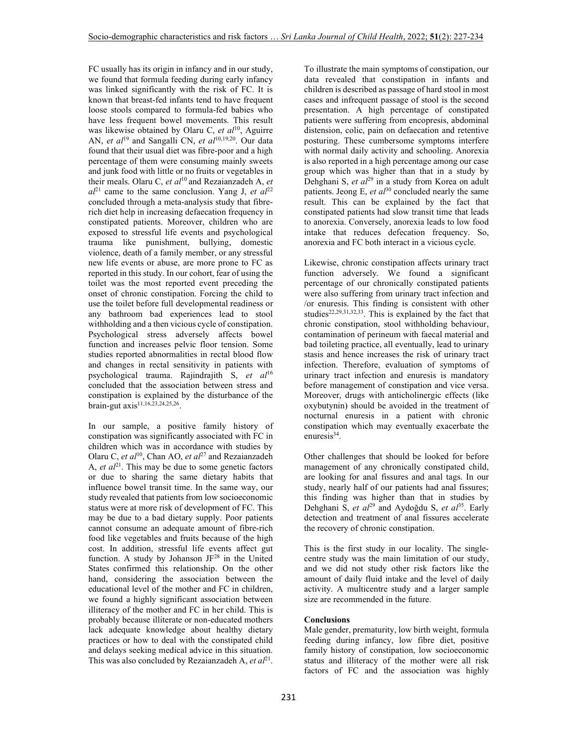FC usually has its origin in infancy and in our study, we found that formula feeding during early infancy was linked significantly with the risk of FC. It is known that breast-fed infants tend to have frequent loose stools compared to formula-fed babies who have less frequent bowel movements. This result was likewise obtained by Olaru C, et al<sup>10</sup>, Aguirre AN, *et al*<sup>19</sup> and Sangalli CN, *et al*<sup>10,19,20</sup>. Our data found that their usual diet was fibre-poor and a high percentage of them were consuming mainly sweets and junk food with little or no fruits or vegetables in their meals. Olaru C, et al<sup>10</sup> and Rezaianzadeh A, et  $a l^{21}$  came to the same conclusion. Yang J, *et al*<sup>22</sup> concluded through a meta-analysis study that fibrerich diet help in increasing defaecation frequency in constipated patients. Moreover, children who are exposed to stressful life events and psychological trauma like punishment, bullying, domestic violence, death of a family member, or any stressful new life events or abuse, are more prone to FC as reported in this study. In our cohort, fear of using the toilet was the most reported event preceding the onset of chronic constipation. Forcing the child to use the toilet before full developmental readiness or any bathroom bad experiences lead to stool withholding and a then vicious cycle of constipation. Psychological stress adversely affects bowel function and increases pelvic floor tension. Some studies reported abnormalities in rectal blood flow and changes in rectal sensitivity in patients with psychological trauma. Rajindrajith S, *et al*<sup>16</sup> concluded that the association between stress and constipation is explained by the disturbance of the brain-gut axis<sup>11,16,23,24,25,26</sup>.

In our sample, a positive family history of constipation was significantly associated with FC in children which was in accordance with studies by Olaru C, *et al*<sup>10</sup>, Chan AO, *et al*<sup>27</sup> and Rezaianzadeh A,  $et \text{ } al^{21}$ . This may be due to some genetic factors or due to sharing the same dietary habits that influence bowel transit time. In the same way, our study revealed that patients from low socioeconomic status were at more risk of development of FC. This may be due to a bad dietary supply. Poor patients cannot consume an adequate amount of fibre-rich food like vegetables and fruits because of the high cost. In addition, stressful life events affect gut function. A study by Johanson JF<sup>28</sup> in the United States confirmed this relationship. On the other hand, considering the association between the educational level of the mother and FC in children, we found a highly significant association between illiteracy of the mother and FC in her child. This is probably because illiterate or non-educated mothers lack adequate knowledge about healthy dietary practices or how to deal with the constipated child and delays seeking medical advice in this situation. This was also concluded by Rezaianzadeh A, et al<sup>21</sup>. To illustrate the main symptoms of constipation, our data revealed that constipation in infants and children is described as passage of hard stool in most cases and infrequent passage of stool is the second presentation. A high percentage of constipated patients were suffering from encopresis, abdominal distension, colic, pain on defaecation and retentive posturing. These cumbersome symptoms interfere with normal daily activity and schooling. Anorexia is also reported in a high percentage among our case group which was higher than that in a study by Dehghani S, *et al*<sup>29</sup> in a study from Korea on adult patients. Jeong E,  $et \t al^{30}$  concluded nearly the same result. This can be explained by the fact that constipated patients had slow transit time that leads to anorexia. Conversely, anorexia leads to low food intake that reduces defecation frequency. So, anorexia and FC both interact in a vicious cycle.

Likewise, chronic constipation affects urinary tract function adversely. We found a significant percentage of our chronically constipated patients were also suffering from urinary tract infection and /or enuresis. This finding is consistent with other studies<sup>22,29,31,32,33</sup>. This is explained by the fact that chronic constipation, stool withholding behaviour, contamination of perineum with faecal material and bad toileting practice, all eventually, lead to urinary stasis and hence increases the risk of urinary tract infection. Therefore, evaluation of symptoms of urinary tract infection and enuresis is mandatory before management of constipation and vice versa. Moreover, drugs with anticholinergic effects (like oxybutynin) should be avoided in the treatment of nocturnal enuresis in a patient with chronic constipation which may eventually exacerbate the enuresis<sup>34</sup>.

Other challenges that should be looked for before management of any chronically constipated child, are looking for anal fissures and anal tags. In our study, nearly half of our patients had anal fissures; this finding was higher than that in studies by Dehghani S, *et al*<sup>29</sup> and Aydoğdu S, *et al*<sup>35</sup>. Early detection and treatment of anal fissures accelerate the recovery of chronic constipation.

This is the first study in our locality. The singlecentre study was the main limitation of our study, and we did not study other risk factors like the amount of daily fluid intake and the level of daily activity. A multicentre study and a larger sample size are recommended in the future.

# **Conclusions**

Male gender, prematurity, low birth weight, formula feeding during infancy, low fibre diet, positive family history of constipation, low socioeconomic status and illiteracy of the mother were all risk factors of FC and the association was highly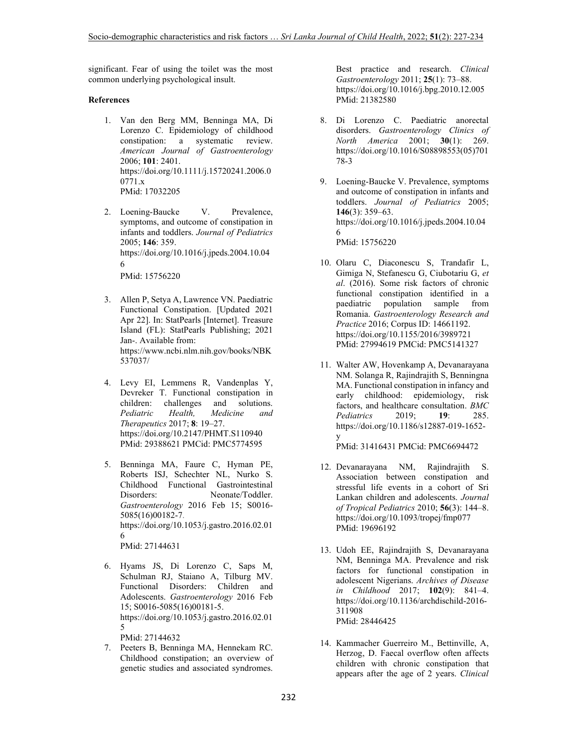significant. Fear of using the toilet was the most common underlying psychological insult.

### **References**

- 1. Van den Berg MM, Benninga MA, Di Lorenzo C. Epidemiology of childhood constipation: a systematic review. *American Journal of Gastroenterology* 2006; **101**: 2401. https://doi.org/10.1111/j.15720241.2006.0 0771.x PMid: 17032205
- 2. Loening-Baucke V. Prevalence, symptoms, and outcome of constipation in infants and toddlers. *Journal of Pediatrics* 2005; **146**: 359. https://doi.org/10.1016/j.jpeds.2004.10.04 6

PMid: 15756220

- 3. Allen P, Setya A, Lawrence VN. Paediatric Functional Constipation. [Updated 2021 Apr 22]. In: StatPearls [Internet]. Treasure Island (FL): StatPearls Publishing; 2021 Jan-. Available from: https://www.ncbi.nlm.nih.gov/books/NBK 537037/
- 4. Levy EI, Lemmens R, Vandenplas Y, Devreker T. Functional constipation in children: challenges and solutions. *Pediatric Health, Medicine and Therapeutics* 2017; **8**: 19–27. https://doi.org/10.2147/PHMT.S110940 PMid: 29388621 PMCid: PMC5774595
- 5. Benninga MA, Faure C, Hyman PE, Roberts ISJ, Schechter NL, Nurko S. Childhood Functional Gastrointestinal Disorders: Neonate/Toddler. *Gastroenterology* 2016 Feb 15; S0016- 5085(16)00182-7. https://doi.org/10.1053/j.gastro.2016.02.01 6 PMid: 27144631
- 6. Hyams JS, Di Lorenzo C, Saps M, Schulman RJ, Staiano A, Tilburg MV. Functional Disorders: Children and Adolescents. *Gastroenterology* 2016 Feb 15; S0016-5085(16)00181-5. https://doi.org/10.1053/j.gastro.2016.02.01 5 PMid: 27144632

7. Peeters B, Benninga MA, Hennekam RC. Childhood constipation; an overview of genetic studies and associated syndromes.

Best practice and research. *Clinical Gastroenterology* 2011; **25**(1): 73–88. https://doi.org/10.1016/j.bpg.2010.12.005 PMid: 21382580

- 8. Di Lorenzo C. Paediatric anorectal disorders. *Gastroenterology Clinics of North America* 2001; **30**(1): 269. https://doi.org/10.1016/S08898553(05)701 78-3
- 9. Loening-Baucke V. Prevalence, symptoms and outcome of constipation in infants and toddlers. *Journal of Pediatrics* 2005; **146**(3): 359–63. https://doi.org/10.1016/j.jpeds.2004.10.04 6 PMid: 15756220
- 10. Olaru C, Diaconescu S, Trandafir L, Gimiga N, Stefanescu G, Ciubotariu G, *et al*. (2016). Some risk factors of chronic functional constipation identified in a paediatric population sample from Romania. *Gastroenterology Research and Practice* 2016; Corpus ID: 14661192. https://doi.org/10.1155/2016/3989721 PMid: 27994619 PMCid: PMC5141327
- 11. Walter AW, Hovenkamp A, Devanarayana NM. Solanga R, Rajindrajith S, Benningna MA. Functional constipation in infancy and early childhood: epidemiology, risk factors, and healthcare consultation. *BMC Pediatrics* 2019; **19**: 285. https://doi.org/10.1186/s12887-019-1652-

y PMid: 31416431 PMCid: PMC6694472

- 12. Devanarayana NM, Rajindrajith S. Association between constipation and stressful life events in a cohort of Sri Lankan children and adolescents. *Journal of Tropical Pediatrics* 2010; **56**(3): 144–8. https://doi.org/10.1093/tropej/fmp077 PMid: 19696192
- 13. Udoh EE, Rajindrajith S, Devanarayana NM, Benninga MA. Prevalence and risk factors for functional constipation in adolescent Nigerians. *Archives of Disease in Childhood* 2017; **102**(9): 841–4. https://doi.org/10.1136/archdischild-2016- 311908 PMid: 28446425
- 14. Kammacher Guerreiro M., Bettinville, A, Herzog, D. Faecal overflow often affects children with chronic constipation that appears after the age of 2 years. *Clinical*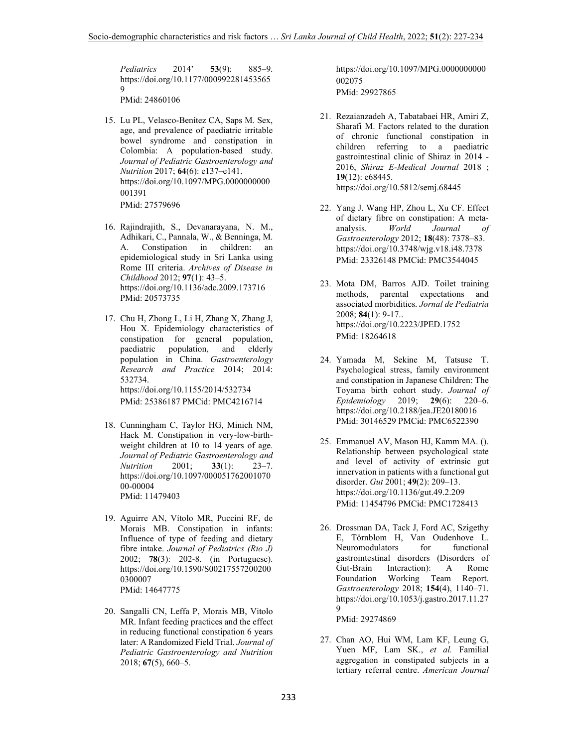*Pediatrics* 2014' **53**(9): 885–9. https://doi.org/10.1177/000992281453565 9 PMid: 24860106

- 15. Lu PL, Velasco-Benítez CA, Saps M. Sex, age, and prevalence of paediatric irritable bowel syndrome and constipation in Colombia: A population-based study. *Journal of Pediatric Gastroenterology and Nutrition* 2017; **64**(6): e137–e141. https://doi.org/10.1097/MPG.0000000000 001391 PMid: 27579696
- 16. Rajindrajith, S., Devanarayana, N. M., Adhikari, C., Pannala, W., & Benninga, M. A. Constipation in children: an epidemiological study in Sri Lanka using Rome III criteria. *Archives of Disease in Childhood* 2012; **97**(1): 43–5. https://doi.org/10.1136/adc.2009.173716 PMid: 20573735
- 17. Chu H, Zhong L, Li H, Zhang X, Zhang J, Hou X. Epidemiology characteristics of constipation for general population, paediatric population, and elderly population in China. *Gastroenterology Research and Practice* 2014; 2014: 532734. https://doi.org/10.1155/2014/532734 PMid: 25386187 PMCid: PMC4216714
- 18. Cunningham C, Taylor HG, Minich NM, Hack M. Constipation in very-low-birthweight children at 10 to 14 years of age. *Journal of Pediatric Gastroenterology and*   $\textit{Nutrition}$ https://doi.org/10.1097/000051762001070 00-00004 PMid: 11479403
- 19. Aguirre AN, Vítolo MR, Puccini RF, de Morais MB. Constipation in infants: Influence of type of feeding and dietary fibre intake. *Journal of Pediatrics (Rio J)* 2002; **78**(3): 202-8. (in Portuguese). https://doi.org/10.1590/S00217557200200 0300007 PMid: 14647775
- 20. Sangalli CN, Leffa P, Morais MB, Vitolo MR. Infant feeding practices and the effect in reducing functional constipation 6 years later: A Randomized Field Trial. *Journal of Pediatric Gastroenterology and Nutrition* 2018; **67**(5), 660–5.

https://doi.org/10.1097/MPG.0000000000 002075 PMid: 29927865

- 21. Rezaianzadeh A, Tabatabaei HR, Amiri Z, Sharafi M. Factors related to the duration of chronic functional constipation in children referring to a paediatric gastrointestinal clinic of Shiraz in 2014 - 2016, *Shiraz E-Medical Journal* 2018 ; **19**(12): e68445. https://doi.org/10.5812/semj.68445
- 22. Yang J. Wang HP, Zhou L, Xu CF. Effect of dietary fibre on constipation: A meta-<br>analysis. World Journal of analysis. *World Journal of Gastroenterology* 2012; **18**(48): 7378–83. https://doi.org/10.3748/wjg.v18.i48.7378 PMid: 23326148 PMCid: PMC3544045
- 23. Mota DM, Barros AJD. Toilet training methods, parental expectations and associated morbidities. *Jornal de Pediatria* 2008; **84**(1): 9-17.. https://doi.org/10.2223/JPED.1752 PMid: 18264618
- 24. Yamada M, Sekine M, Tatsuse T. Psychological stress, family environment and constipation in Japanese Children: The Toyama birth cohort study. *Journal of Epidemiology* 2019; **29**(6): 220–6. https://doi.org/10.2188/jea.JE20180016 PMid: 30146529 PMCid: PMC6522390
- 25. Emmanuel AV, Mason HJ, Kamm MA. (). Relationship between psychological state and level of activity of extrinsic gut innervation in patients with a functional gut disorder. *Gut* 2001; **49**(2): 209–13. https://doi.org/10.1136/gut.49.2.209 PMid: 11454796 PMCid: PMC1728413
- 26. Drossman DA, Tack J, Ford AC, Szigethy E, Törnblom H, Van Oudenhove L. Neuromodulators for functional gastrointestinal disorders (Disorders of Gut-Brain Interaction): A Rome Foundation Working Team Report. *Gastroenterology* 2018; **154**(4), 1140–71. https://doi.org/10.1053/j.gastro.2017.11.27  $\Omega$ PMid: 29274869
- 27. Chan AO, Hui WM, Lam KF, Leung G, Yuen MF, Lam SK., *et al.* Familial aggregation in constipated subjects in a tertiary referral centre. *American Journal*